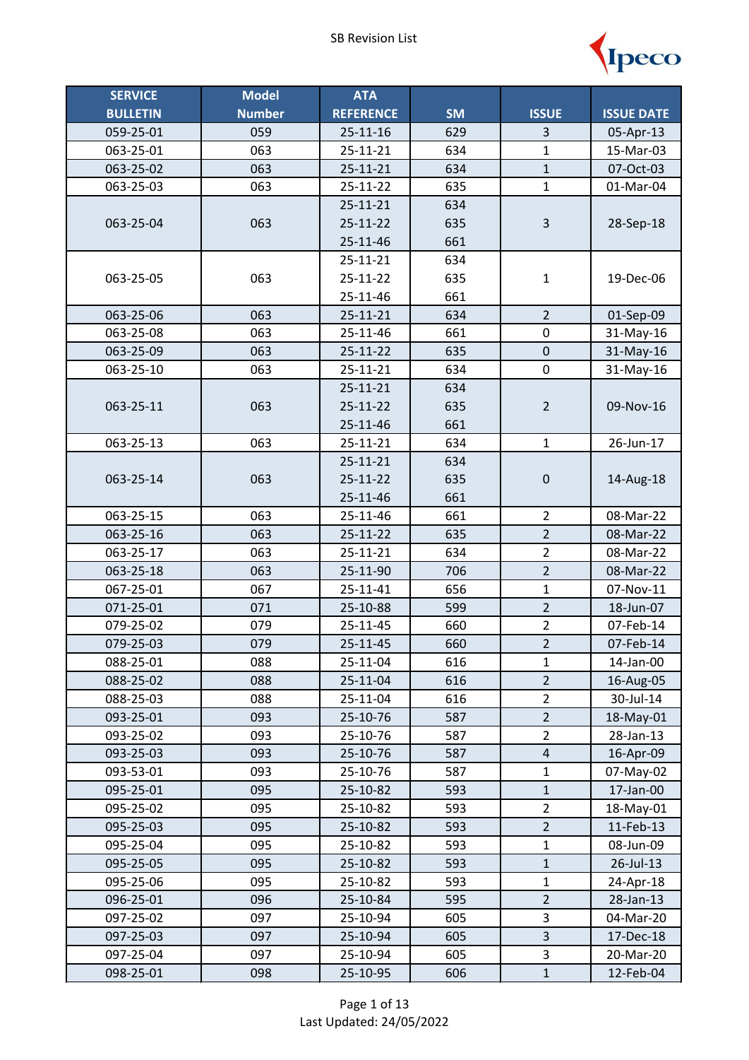

| <b>SERVICE</b>         | <b>Model</b>  | <b>ATA</b>           |            |                                  |                        |
|------------------------|---------------|----------------------|------------|----------------------------------|------------------------|
| <b>BULLETIN</b>        | <b>Number</b> | <b>REFERENCE</b>     | <b>SM</b>  | <b>ISSUE</b>                     | <b>ISSUE DATE</b>      |
| 059-25-01              | 059           | 25-11-16             | 629        | 3                                | 05-Apr-13              |
| 063-25-01              | 063           | $25 - 11 - 21$       | 634        | $\mathbf{1}$                     | 15-Mar-03              |
| 063-25-02              | 063           | 25-11-21             | 634        | $\mathbf{1}$                     | 07-Oct-03              |
| 063-25-03              | 063           | 25-11-22             | 635        | $\mathbf{1}$                     | 01-Mar-04              |
|                        |               | 25-11-21             | 634        |                                  |                        |
| 063-25-04              | 063           | 25-11-22             | 635        | $\mathsf{3}$                     | 28-Sep-18              |
|                        |               | 25-11-46             | 661        |                                  |                        |
|                        |               | 25-11-21             | 634        |                                  |                        |
| 063-25-05              | 063           | 25-11-22             | 635        | $\mathbf 1$                      | 19-Dec-06              |
|                        |               | 25-11-46             | 661        |                                  |                        |
| 063-25-06              | 063           | 25-11-21             | 634        | $\overline{2}$                   | 01-Sep-09              |
| 063-25-08              | 063           | 25-11-46             | 661        | 0                                | 31-May-16              |
| 063-25-09              | 063           | 25-11-22             | 635        | $\pmb{0}$                        | 31-May-16              |
| 063-25-10              | 063           | 25-11-21             | 634        | $\pmb{0}$                        | 31-May-16              |
|                        |               | 25-11-21             | 634        |                                  |                        |
| 063-25-11              | 063           | 25-11-22             | 635        | $\overline{2}$                   | 09-Nov-16              |
|                        |               | 25-11-46             | 661        |                                  |                        |
| 063-25-13              | 063           | 25-11-21             | 634        | $\mathbf 1$                      | 26-Jun-17              |
|                        |               | 25-11-21             | 634        |                                  |                        |
| 063-25-14              | 063           | 25-11-22             | 635        | $\pmb{0}$                        | 14-Aug-18              |
|                        |               | 25-11-46             | 661        |                                  |                        |
| 063-25-15              | 063           | 25-11-46             | 661        | $\overline{2}$                   | 08-Mar-22              |
| 063-25-16              | 063           | 25-11-22             | 635        | $\overline{2}$                   | 08-Mar-22              |
| 063-25-17              | 063           | 25-11-21             | 634        | $\overline{2}$<br>$\overline{2}$ | 08-Mar-22              |
| 063-25-18              | 063           | 25-11-90             | 706        |                                  | 08-Mar-22              |
| 067-25-01              | 067           | 25-11-41             | 656        | $\mathbf 1$<br>$\overline{2}$    | 07-Nov-11              |
| 071-25-01<br>079-25-02 | 071<br>079    | 25-10-88<br>25-11-45 | 599<br>660 | $\overline{2}$                   | 18-Jun-07<br>07-Feb-14 |
| 079-25-03              | 079           | 25-11-45             | 660        | $\overline{2}$                   | 07-Feb-14              |
| 088-25-01              | 088           | 25-11-04             | 616        | 1                                | 14-Jan-00              |
| 088-25-02              | 088           | 25-11-04             | 616        | $\overline{2}$                   | 16-Aug-05              |
| 088-25-03              | 088           | 25-11-04             | 616        | $\overline{2}$                   | 30-Jul-14              |
| 093-25-01              | 093           | 25-10-76             | 587        | $\overline{2}$                   | 18-May-01              |
| 093-25-02              | 093           | 25-10-76             | 587        | $\overline{2}$                   | 28-Jan-13              |
| 093-25-03              | 093           | 25-10-76             | 587        | $\overline{4}$                   | 16-Apr-09              |
| 093-53-01              | 093           | 25-10-76             | 587        | $\mathbf 1$                      | 07-May-02              |
| 095-25-01              | 095           | 25-10-82             | 593        | 1                                | 17-Jan-00              |
| 095-25-02              | 095           | 25-10-82             | 593        | $\overline{2}$                   | 18-May-01              |
| 095-25-03              | 095           | 25-10-82             | 593        | $\overline{2}$                   | 11-Feb-13              |
| 095-25-04              | 095           | 25-10-82             | 593        | 1                                | 08-Jun-09              |
| 095-25-05              | 095           | 25-10-82             | 593        | $\mathbf{1}$                     | 26-Jul-13              |
| 095-25-06              | 095           | 25-10-82             | 593        | 1                                | 24-Apr-18              |
| 096-25-01              | 096           | 25-10-84             | 595        | $\overline{2}$                   | 28-Jan-13              |
| 097-25-02              | 097           | 25-10-94             | 605        | 3                                | 04-Mar-20              |
| 097-25-03              | 097           | 25-10-94             | 605        | 3                                | 17-Dec-18              |
| 097-25-04              | 097           | 25-10-94             | 605        | 3                                | 20-Mar-20              |
| 098-25-01              | 098           | 25-10-95             | 606        | $\mathbf{1}$                     | 12-Feb-04              |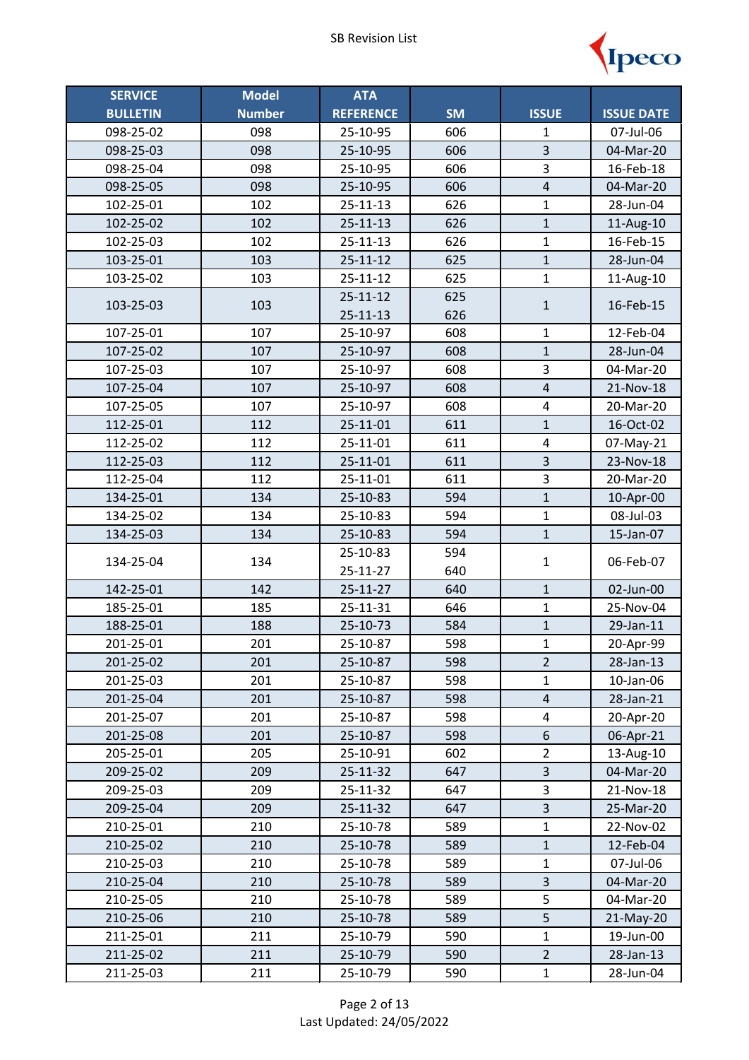

| <b>SERVICE</b>  | <b>Model</b>  | <b>ATA</b>       |           |                         |                   |
|-----------------|---------------|------------------|-----------|-------------------------|-------------------|
| <b>BULLETIN</b> | <b>Number</b> | <b>REFERENCE</b> | <b>SM</b> | <b>ISSUE</b>            | <b>ISSUE DATE</b> |
| 098-25-02       | 098           | 25-10-95         | 606       | 1                       | 07-Jul-06         |
| 098-25-03       | 098           | 25-10-95         | 606       | $\overline{3}$          | 04-Mar-20         |
| 098-25-04       | 098           | 25-10-95         | 606       | 3                       | 16-Feb-18         |
| 098-25-05       | 098           | 25-10-95         | 606       | $\overline{4}$          | 04-Mar-20         |
| 102-25-01       | 102           | $25 - 11 - 13$   | 626       | $\mathbf{1}$            | 28-Jun-04         |
| 102-25-02       | 102           | $25 - 11 - 13$   | 626       | $\mathbf{1}$            | 11-Aug-10         |
| 102-25-03       | 102           | 25-11-13         | 626       | $\mathbf{1}$            | 16-Feb-15         |
| 103-25-01       | 103           | $25 - 11 - 12$   | 625       | $\mathbf{1}$            | 28-Jun-04         |
| 103-25-02       | 103           | 25-11-12         | 625       | $\mathbf{1}$            | 11-Aug-10         |
| 103-25-03       | 103           | $25 - 11 - 12$   | 625       | $\mathbf 1$             | 16-Feb-15         |
|                 |               | $25 - 11 - 13$   | 626       |                         |                   |
| 107-25-01       | 107           | 25-10-97         | 608       | 1                       | 12-Feb-04         |
| 107-25-02       | 107           | 25-10-97         | 608       | $\mathbf{1}$            | 28-Jun-04         |
| 107-25-03       | 107           | 25-10-97         | 608       | $\overline{\mathbf{3}}$ | 04-Mar-20         |
| 107-25-04       | 107           | 25-10-97         | 608       | $\overline{4}$          | 21-Nov-18         |
| 107-25-05       | 107           | 25-10-97         | 608       | $\overline{\mathbf{4}}$ | 20-Mar-20         |
| 112-25-01       | 112           | $25 - 11 - 01$   | 611       | $\mathbf{1}$            | 16-Oct-02         |
| 112-25-02       | 112           | 25-11-01         | 611       | 4                       | 07-May-21         |
| 112-25-03       | 112           | $25 - 11 - 01$   | 611       | $\overline{3}$          | 23-Nov-18         |
| 112-25-04       | 112           | 25-11-01         | 611       | 3                       | 20-Mar-20         |
| 134-25-01       | 134           | 25-10-83         | 594       | $\mathbf{1}$            | 10-Apr-00         |
| 134-25-02       | 134           | 25-10-83         | 594       | $\mathbf{1}$            | 08-Jul-03         |
| 134-25-03       | 134           | 25-10-83         | 594       | $\mathbf 1$             | 15-Jan-07         |
| 134-25-04       | 134           | 25-10-83         | 594       | 1                       | 06-Feb-07         |
|                 |               | 25-11-27         | 640       |                         |                   |
| 142-25-01       | 142           | 25-11-27         | 640       | $\mathbf{1}$            | 02-Jun-00         |
| 185-25-01       | 185           | 25-11-31         | 646       | $\mathbf 1$             | 25-Nov-04         |
| 188-25-01       | 188           | 25-10-73         | 584       | $\mathbf{1}$            | 29-Jan-11         |
| 201-25-01       | 201           | 25-10-87         | 598       | $\mathbf{1}$            | 20-Apr-99         |
| 201-25-02       | 201           | 25-10-87         | 598       | $\overline{2}$          | 28-Jan-13         |
| 201-25-03       | 201           | 25-10-87         | 598       | 1                       | 10-Jan-06         |
| 201-25-04       | 201           | 25-10-87         | 598       | $\sqrt{4}$              | 28-Jan-21         |
| 201-25-07       | 201           | 25-10-87         | 598       | $\overline{\mathbf{4}}$ | 20-Apr-20         |
| 201-25-08       | 201           | 25-10-87         | 598       | 6                       | 06-Apr-21         |
| 205-25-01       | 205           | 25-10-91         | 602       | $\overline{2}$          | 13-Aug-10         |
| 209-25-02       | 209           | 25-11-32         | 647       | 3                       | 04-Mar-20         |
| 209-25-03       | 209           | 25-11-32         | 647       | 3                       | 21-Nov-18         |
| 209-25-04       | 209           | 25-11-32         | 647       | $\overline{3}$          | 25-Mar-20         |
| 210-25-01       | 210           | 25-10-78         | 589       | $\mathbf 1$             | 22-Nov-02         |
| 210-25-02       | 210           | 25-10-78         | 589       | $\mathbf{1}$            | 12-Feb-04         |
| 210-25-03       | 210           | 25-10-78         | 589       | $\mathbf{1}$            | 07-Jul-06         |
| 210-25-04       | 210           | 25-10-78         | 589       | 3                       | 04-Mar-20         |
| 210-25-05       | 210           | 25-10-78         | 589       | 5                       | 04-Mar-20         |
| 210-25-06       | 210           | 25-10-78         | 589       | $\overline{5}$          | 21-May-20         |
| 211-25-01       | 211           | 25-10-79         | 590       | $\mathbf 1$             | 19-Jun-00         |
| 211-25-02       | 211           | 25-10-79         | 590       | $\overline{2}$          | 28-Jan-13         |
| 211-25-03       | 211           | 25-10-79         | 590       | $\mathbf 1$             | 28-Jun-04         |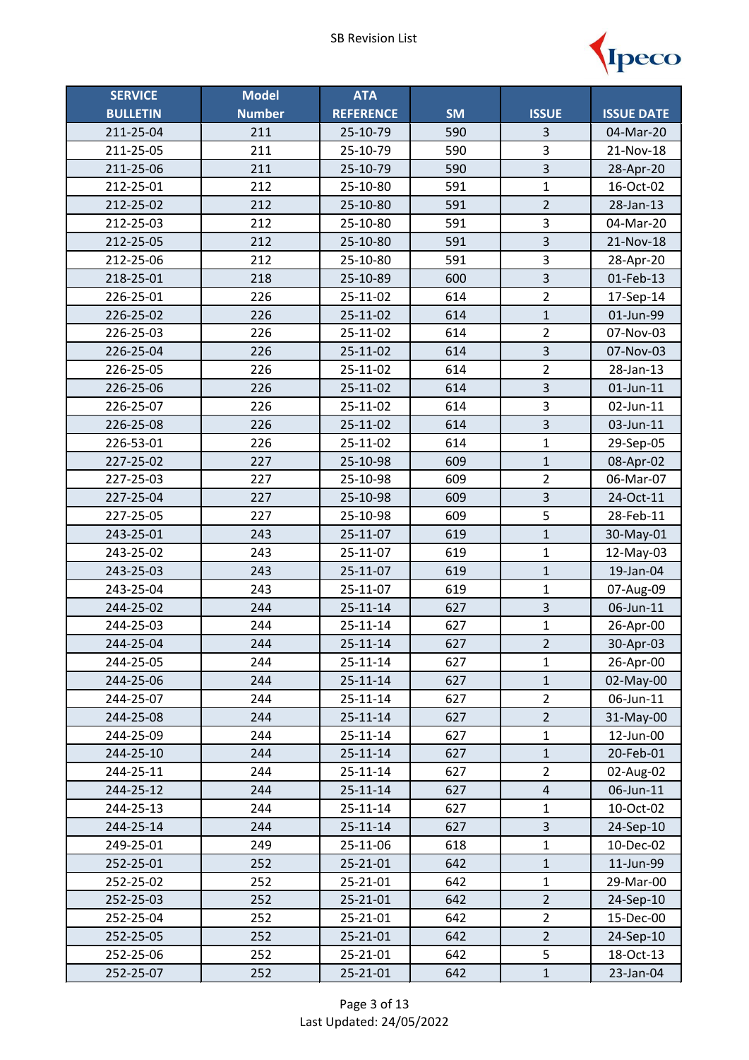

| <b>SERVICE</b>  | <b>Model</b>  | <b>ATA</b>       |           |                         |                   |
|-----------------|---------------|------------------|-----------|-------------------------|-------------------|
| <b>BULLETIN</b> | <b>Number</b> | <b>REFERENCE</b> | <b>SM</b> | <b>ISSUE</b>            | <b>ISSUE DATE</b> |
| 211-25-04       | 211           | 25-10-79         | 590       | 3                       | 04-Mar-20         |
| 211-25-05       | 211           | 25-10-79         | 590       | 3                       | 21-Nov-18         |
| 211-25-06       | 211           | 25-10-79         | 590       | $\overline{\mathbf{3}}$ | 28-Apr-20         |
| 212-25-01       | 212           | 25-10-80         | 591       | $\mathbf{1}$            | 16-Oct-02         |
| 212-25-02       | 212           | 25-10-80         | 591       | $\overline{2}$          | 28-Jan-13         |
| 212-25-03       | 212           | 25-10-80         | 591       | 3                       | 04-Mar-20         |
| 212-25-05       | 212           | 25-10-80         | 591       | $\overline{3}$          | 21-Nov-18         |
| 212-25-06       | 212           | 25-10-80         | 591       | $\overline{\mathbf{3}}$ | 28-Apr-20         |
| 218-25-01       | 218           | 25-10-89         | 600       | $\overline{3}$          | 01-Feb-13         |
| 226-25-01       | 226           | 25-11-02         | 614       | $\overline{2}$          | 17-Sep-14         |
| 226-25-02       | 226           | 25-11-02         | 614       | $\mathbf{1}$            | 01-Jun-99         |
| 226-25-03       | 226           | 25-11-02         | 614       | $\overline{2}$          | 07-Nov-03         |
| 226-25-04       | 226           | 25-11-02         | 614       | $\overline{3}$          | 07-Nov-03         |
| 226-25-05       | 226           | 25-11-02         | 614       | $\overline{2}$          | 28-Jan-13         |
| 226-25-06       | 226           | 25-11-02         | 614       | $\overline{\mathbf{3}}$ | $01$ -Jun-11      |
| 226-25-07       | 226           | 25-11-02         | 614       | $\overline{\mathbf{3}}$ | 02-Jun-11         |
| 226-25-08       | 226           | 25-11-02         | 614       | 3                       | 03-Jun-11         |
| 226-53-01       | 226           | 25-11-02         | 614       | $\mathbf{1}$            | 29-Sep-05         |
| 227-25-02       | 227           | 25-10-98         | 609       | $\mathbf{1}$            | 08-Apr-02         |
| 227-25-03       | 227           | 25-10-98         | 609       | $\overline{2}$          | 06-Mar-07         |
| 227-25-04       | 227           | 25-10-98         | 609       | $\overline{\mathbf{3}}$ | 24-Oct-11         |
| 227-25-05       | 227           | 25-10-98         | 609       | 5                       | 28-Feb-11         |
| 243-25-01       | 243           | 25-11-07         | 619       | $\mathbf{1}$            | 30-May-01         |
| 243-25-02       | 243           | 25-11-07         | 619       | $\mathbf{1}$            | 12-May-03         |
| 243-25-03       | 243           | 25-11-07         | 619       | $\mathbf{1}$            | 19-Jan-04         |
| 243-25-04       | 243           | 25-11-07         | 619       | $\mathbf{1}$            | 07-Aug-09         |
| 244-25-02       | 244           | $25 - 11 - 14$   | 627       | $\overline{\mathbf{3}}$ | 06-Jun-11         |
| 244-25-03       | 244           | $25 - 11 - 14$   | 627       | $\mathbf{1}$            | 26-Apr-00         |
| 244-25-04       | 244           | $25 - 11 - 14$   | 627       | $\overline{2}$          | 30-Apr-03         |
| 244-25-05       | 244           | 25-11-14         | 627       | $\mathbf{1}$            | 26-Apr-00         |
| 244-25-06       | 244           | $25 - 11 - 14$   | 627       | $\mathbf{1}$            | 02-May-00         |
| 244-25-07       | 244           | 25-11-14         | 627       | $\overline{2}$          | 06-Jun-11         |
| 244-25-08       | 244           | $25 - 11 - 14$   | 627       | $\overline{2}$          | 31-May-00         |
| 244-25-09       | 244           | 25-11-14         | 627       | $\mathbf 1$             | 12-Jun-00         |
| 244-25-10       | 244           | $25 - 11 - 14$   | 627       | $\mathbf{1}$            | 20-Feb-01         |
| 244-25-11       | 244           | 25-11-14         | 627       | $\overline{2}$          | 02-Aug-02         |
| 244-25-12       | 244           | $25 - 11 - 14$   | 627       | 4                       | $06$ -Jun- $11$   |
| 244-25-13       | 244           | $25 - 11 - 14$   | 627       | 1                       | 10-Oct-02         |
| 244-25-14       | 244           | $25 - 11 - 14$   | 627       | $\overline{\mathbf{3}}$ | 24-Sep-10         |
| 249-25-01       | 249           | 25-11-06         | 618       | $\mathbf 1$             | 10-Dec-02         |
| 252-25-01       | 252           | 25-21-01         | 642       | $\mathbf{1}$            | 11-Jun-99         |
| 252-25-02       | 252           | 25-21-01         | 642       | $\mathbf{1}$            | 29-Mar-00         |
| 252-25-03       | 252           | 25-21-01         | 642       | $\overline{2}$          | 24-Sep-10         |
| 252-25-04       | 252           | 25-21-01         | 642       | $\overline{2}$          | 15-Dec-00         |
| 252-25-05       | 252           | 25-21-01         | 642       | $\overline{2}$          | 24-Sep-10         |
| 252-25-06       | 252           | 25-21-01         | 642       | 5                       | 18-Oct-13         |
| 252-25-07       | 252           | 25-21-01         | 642       | $\mathbf 1$             | 23-Jan-04         |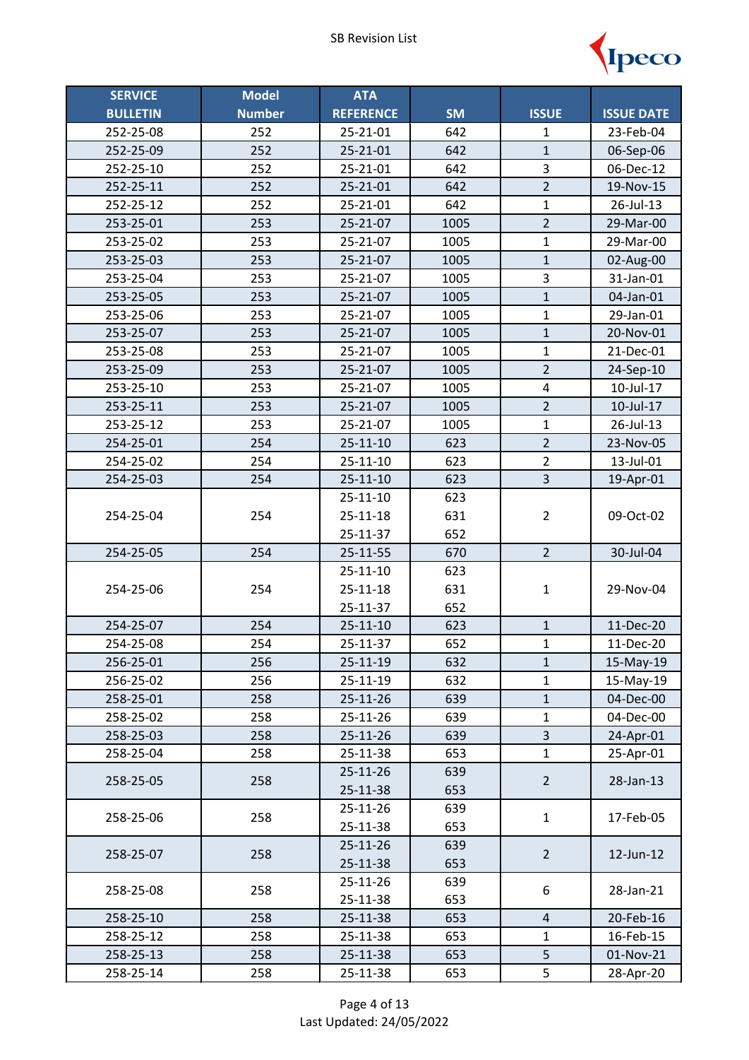

| <b>SERVICE</b>  | <b>Model</b>  | <b>ATA</b>       |           |                |                   |
|-----------------|---------------|------------------|-----------|----------------|-------------------|
| <b>BULLETIN</b> | <b>Number</b> | <b>REFERENCE</b> | <b>SM</b> | <b>ISSUE</b>   | <b>ISSUE DATE</b> |
| 252-25-08       | 252           | 25-21-01         | 642       | $\mathbf{1}$   | 23-Feb-04         |
| 252-25-09       | 252           | 25-21-01         | 642       | $\mathbf{1}$   | 06-Sep-06         |
| 252-25-10       | 252           | 25-21-01         | 642       | 3              | 06-Dec-12         |
| 252-25-11       | 252           | 25-21-01         | 642       | $\overline{2}$ | 19-Nov-15         |
| 252-25-12       | 252           | 25-21-01         | 642       | $\mathbf{1}$   | 26-Jul-13         |
| 253-25-01       | 253           | 25-21-07         | 1005      | $\overline{2}$ | 29-Mar-00         |
| 253-25-02       | 253           | 25-21-07         | 1005      | $\mathbf{1}$   | 29-Mar-00         |
| 253-25-03       | 253           | 25-21-07         | 1005      | $\mathbf{1}$   | 02-Aug-00         |
| 253-25-04       | 253           | 25-21-07         | 1005      | 3              | 31-Jan-01         |
| 253-25-05       | 253           | 25-21-07         | 1005      | $\mathbf{1}$   | 04-Jan-01         |
| 253-25-06       | 253           | 25-21-07         | 1005      | $\mathbf{1}$   | 29-Jan-01         |
| 253-25-07       | 253           | 25-21-07         | 1005      | $\mathbf{1}$   | 20-Nov-01         |
| 253-25-08       | 253           | 25-21-07         | 1005      | $\mathbf{1}$   | 21-Dec-01         |
| 253-25-09       | 253           | 25-21-07         | 1005      | $\overline{2}$ | 24-Sep-10         |
| 253-25-10       | 253           | 25-21-07         | 1005      | 4              | 10-Jul-17         |
| 253-25-11       | 253           | 25-21-07         | 1005      | $\overline{2}$ | 10-Jul-17         |
| 253-25-12       | 253           | 25-21-07         | 1005      | $\mathbf{1}$   | 26-Jul-13         |
| 254-25-01       | 254           | $25 - 11 - 10$   | 623       | $\overline{2}$ | 23-Nov-05         |
| 254-25-02       | 254           | 25-11-10         | 623       | $\overline{2}$ | 13-Jul-01         |
| 254-25-03       | 254           | $25 - 11 - 10$   | 623       | 3              | 19-Apr-01         |
|                 |               | 25-11-10         | 623       |                |                   |
| 254-25-04       | 254           | 25-11-18         | 631       | $\overline{2}$ | 09-Oct-02         |
|                 |               | 25-11-37         | 652       |                |                   |
| 254-25-05       | 254           | 25-11-55         | 670       | $\overline{2}$ | 30-Jul-04         |
|                 |               | 25-11-10         | 623       |                |                   |
| 254-25-06       | 254           | 25-11-18         | 631       | $\mathbf 1$    | 29-Nov-04         |
|                 |               | 25-11-37         | 652       |                |                   |
| 254-25-07       | 254           | $25 - 11 - 10$   | 623       | $\mathbf{1}$   | 11-Dec-20         |
| 254-25-08       | 254           | 25-11-37         | 652       | $\mathbf{1}$   | 11-Dec-20         |
| 256-25-01       | 256           | 25-11-19         | 632       | $\mathbf{1}$   | 15-May-19         |
| 256-25-02       | 256           | 25-11-19         | 632       | $\mathbf{1}$   | 15-May-19         |
| 258-25-01       | 258           | 25-11-26         | 639       | $\mathbf{1}$   | 04-Dec-00         |
| 258-25-02       | 258           | 25-11-26         | 639       | $\mathbf{1}$   | 04-Dec-00         |
| 258-25-03       | 258           | 25-11-26         | 639       | 3              | 24-Apr-01         |
| 258-25-04       | 258           | 25-11-38         | 653       | $\mathbf{1}$   | 25-Apr-01         |
| 258-25-05       | 258           | 25-11-26         | 639       | $\overline{2}$ | 28-Jan-13         |
|                 |               | 25-11-38         | 653       |                |                   |
| 258-25-06       | 258           | 25-11-26         | 639       | $\mathbf{1}$   | 17-Feb-05         |
|                 |               | 25-11-38         | 653       |                |                   |
| 258-25-07       | 258           | 25-11-26         | 639       | $\overline{2}$ | 12-Jun-12         |
|                 |               | 25-11-38         | 653       |                |                   |
| 258-25-08       | 258           | 25-11-26         | 639       | 6              | 28-Jan-21         |
|                 |               | 25-11-38         | 653       |                |                   |
| 258-25-10       | 258           | 25-11-38         | 653       | 4              | 20-Feb-16         |
| 258-25-12       | 258           | 25-11-38         | 653       | $\mathbf{1}$   | 16-Feb-15         |
| 258-25-13       | 258           | 25-11-38         | 653       | 5              | 01-Nov-21         |
| 258-25-14       | 258           | 25-11-38         | 653       | 5              | 28-Apr-20         |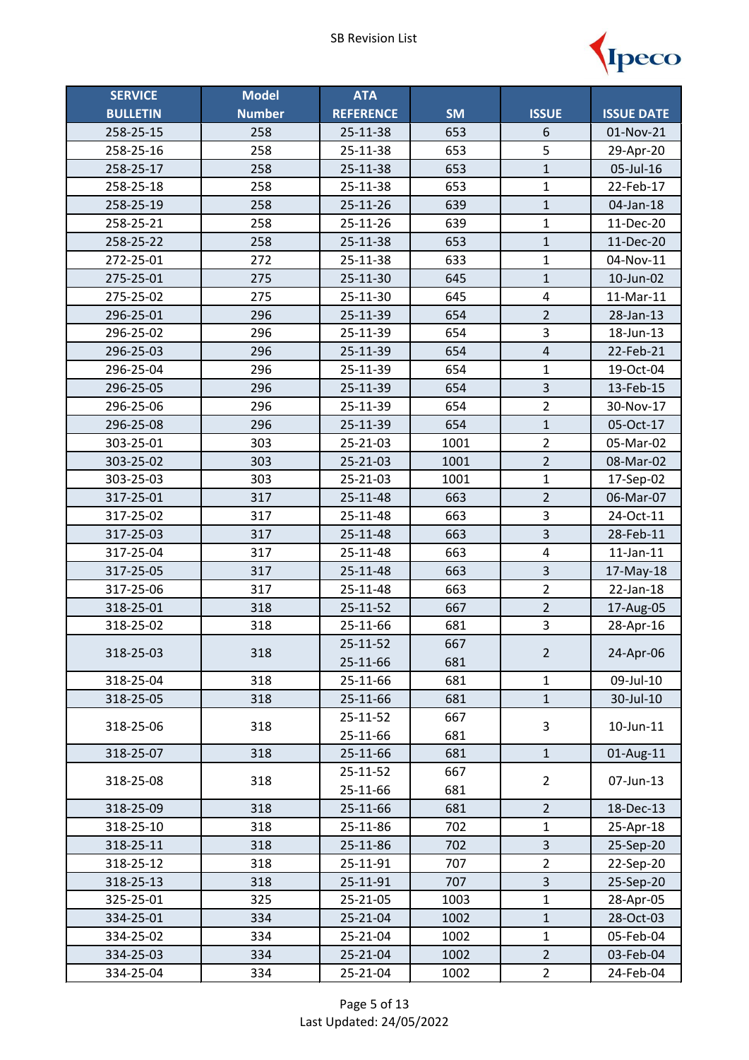

| <b>SERVICE</b>  | <b>Model</b>  | <b>ATA</b>       |           |                         |                   |
|-----------------|---------------|------------------|-----------|-------------------------|-------------------|
| <b>BULLETIN</b> | <b>Number</b> | <b>REFERENCE</b> | <b>SM</b> | <b>ISSUE</b>            | <b>ISSUE DATE</b> |
| 258-25-15       | 258           | 25-11-38         | 653       | 6                       | 01-Nov-21         |
| 258-25-16       | 258           | 25-11-38         | 653       | 5                       | 29-Apr-20         |
| 258-25-17       | 258           | 25-11-38         | 653       | $\overline{1}$          | 05-Jul-16         |
| 258-25-18       | 258           | 25-11-38         | 653       | $\mathbf{1}$            | 22-Feb-17         |
| 258-25-19       | 258           | 25-11-26         | 639       | $\mathbf{1}$            | 04-Jan-18         |
| 258-25-21       | 258           | 25-11-26         | 639       | 1                       | 11-Dec-20         |
| 258-25-22       | 258           | 25-11-38         | 653       | $\mathbf{1}$            | 11-Dec-20         |
| 272-25-01       | 272           | 25-11-38         | 633       | $\mathbf{1}$            | 04-Nov-11         |
| 275-25-01       | 275           | 25-11-30         | 645       | $\mathbf{1}$            | 10-Jun-02         |
| 275-25-02       | 275           | 25-11-30         | 645       | $\overline{\mathbf{4}}$ | 11-Mar-11         |
| 296-25-01       | 296           | 25-11-39         | 654       | $\overline{2}$          | $28$ -Jan- $13$   |
| 296-25-02       | 296           | 25-11-39         | 654       | 3                       | 18-Jun-13         |
| 296-25-03       | 296           | 25-11-39         | 654       | $\overline{4}$          | 22-Feb-21         |
| 296-25-04       | 296           | 25-11-39         | 654       | $\mathbf{1}$            | 19-Oct-04         |
| 296-25-05       | 296           | 25-11-39         | 654       | $\overline{3}$          | 13-Feb-15         |
| 296-25-06       | 296           | 25-11-39         | 654       | $\overline{2}$          | 30-Nov-17         |
| 296-25-08       | 296           | 25-11-39         | 654       | $\mathbf{1}$            | 05-Oct-17         |
| 303-25-01       | 303           | 25-21-03         | 1001      | $\overline{2}$          | 05-Mar-02         |
| 303-25-02       | 303           | 25-21-03         | 1001      | $\overline{2}$          | 08-Mar-02         |
| 303-25-03       | 303           | 25-21-03         | 1001      | $\mathbf 1$             | 17-Sep-02         |
| 317-25-01       | 317           | 25-11-48         | 663       | $\overline{2}$          | 06-Mar-07         |
| 317-25-02       | 317           | 25-11-48         | 663       | 3                       | 24-Oct-11         |
| 317-25-03       | 317           | 25-11-48         | 663       | $\overline{3}$          | 28-Feb-11         |
| 317-25-04       | 317           | 25-11-48         | 663       | $\pmb{4}$               | $11$ -Jan- $11$   |
| 317-25-05       | 317           | 25-11-48         | 663       | $\overline{\mathbf{3}}$ | 17-May-18         |
| 317-25-06       | 317           | 25-11-48         | 663       | $\overline{2}$          | 22-Jan-18         |
| 318-25-01       | 318           | 25-11-52         | 667       | $\overline{2}$          | 17-Aug-05         |
| 318-25-02       | 318           | 25-11-66         | 681       | 3                       | 28-Apr-16         |
| 318-25-03       | 318           | 25-11-52         | 667       | 2                       | 24-Apr-06         |
|                 |               | 25-11-66         | 681       |                         |                   |
| 318-25-04       | 318           | 25-11-66         | 681       | $\mathbf{1}$            | 09-Jul-10         |
| 318-25-05       | 318           | 25-11-66         | 681       | $\mathbf{1}$            | 30-Jul-10         |
| 318-25-06       | 318           | 25-11-52         | 667       | 3                       | 10-Jun-11         |
|                 |               | 25-11-66         | 681       |                         |                   |
| 318-25-07       | 318           | 25-11-66         | 681       | $\mathbf{1}$            | 01-Aug-11         |
| 318-25-08       | 318           | 25-11-52         | 667       | $\overline{2}$          | 07-Jun-13         |
|                 |               | 25-11-66         | 681       |                         |                   |
| 318-25-09       | 318           | 25-11-66         | 681       | $\overline{2}$          | 18-Dec-13         |
| 318-25-10       | 318           | 25-11-86         | 702       | $\mathbf 1$             | 25-Apr-18         |
| 318-25-11       | 318           | 25-11-86         | 702       | 3                       | 25-Sep-20         |
| 318-25-12       | 318           | 25-11-91         | 707       | $\overline{2}$          | 22-Sep-20         |
| 318-25-13       | 318           | 25-11-91         | 707       | 3                       | 25-Sep-20         |
| 325-25-01       | 325           | 25-21-05         | 1003      | $\mathbf 1$             | 28-Apr-05         |
| 334-25-01       | 334           | 25-21-04         | 1002      | $\mathbf{1}$            | 28-Oct-03         |
| 334-25-02       | 334           | 25-21-04         | 1002      | $\mathbf{1}$            | 05-Feb-04         |
| 334-25-03       | 334           | 25-21-04         | 1002      | $\overline{2}$          | 03-Feb-04         |
| 334-25-04       | 334           | 25-21-04         | 1002      | $\overline{2}$          | 24-Feb-04         |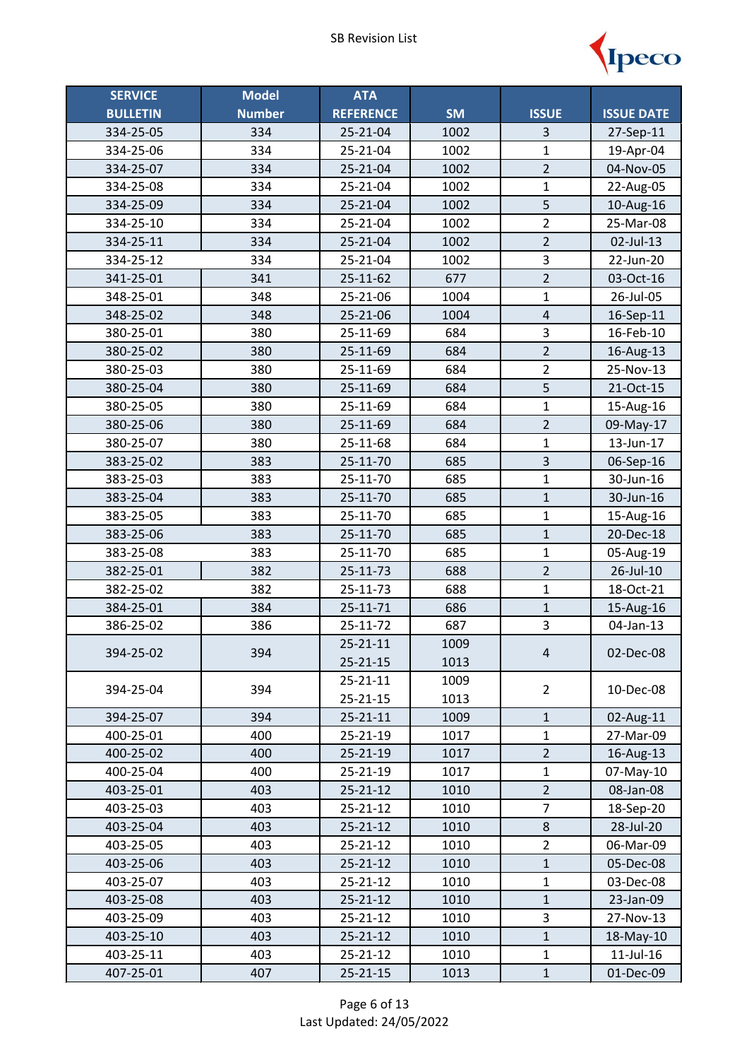

| <b>SERVICE</b>  | <b>Model</b>  | <b>ATA</b>       |           |                         |                   |
|-----------------|---------------|------------------|-----------|-------------------------|-------------------|
| <b>BULLETIN</b> | <b>Number</b> | <b>REFERENCE</b> | <b>SM</b> | <b>ISSUE</b>            | <b>ISSUE DATE</b> |
| 334-25-05       | 334           | 25-21-04         | 1002      | 3                       | 27-Sep-11         |
| 334-25-06       | 334           | 25-21-04         | 1002      | $\mathbf 1$             | 19-Apr-04         |
| 334-25-07       | 334           | 25-21-04         | 1002      | $\overline{2}$          | 04-Nov-05         |
| 334-25-08       | 334           | 25-21-04         | 1002      | $\mathbf{1}$            | 22-Aug-05         |
| 334-25-09       | 334           | 25-21-04         | 1002      | 5                       | 10-Aug-16         |
| 334-25-10       | 334           | 25-21-04         | 1002      | $\overline{2}$          | 25-Mar-08         |
| 334-25-11       | 334           | 25-21-04         | 1002      | $\overline{2}$          | 02-Jul-13         |
| 334-25-12       | 334           | 25-21-04         | 1002      | $\overline{\mathbf{3}}$ | 22-Jun-20         |
| 341-25-01       | 341           | 25-11-62         | 677       | $\overline{2}$          | 03-Oct-16         |
| 348-25-01       | 348           | 25-21-06         | 1004      | $\overline{1}$          | 26-Jul-05         |
| 348-25-02       | 348           | 25-21-06         | 1004      | $\overline{4}$          | 16-Sep-11         |
| 380-25-01       | 380           | 25-11-69         | 684       | 3                       | 16-Feb-10         |
| 380-25-02       | 380           | 25-11-69         | 684       | $\overline{2}$          | 16-Aug-13         |
| 380-25-03       | 380           | 25-11-69         | 684       | $\overline{2}$          | 25-Nov-13         |
| 380-25-04       | 380           | 25-11-69         | 684       | 5                       | 21-Oct-15         |
| 380-25-05       | 380           | 25-11-69         | 684       | $\mathbf{1}$            | 15-Aug-16         |
| 380-25-06       | 380           | 25-11-69         | 684       | $\overline{2}$          | 09-May-17         |
| 380-25-07       | 380           | 25-11-68         | 684       | $\mathbf{1}$            | 13-Jun-17         |
| 383-25-02       | 383           | 25-11-70         | 685       | 3                       | 06-Sep-16         |
| 383-25-03       | 383           | 25-11-70         | 685       | $\mathbf{1}$            | 30-Jun-16         |
| 383-25-04       | 383           | 25-11-70         | 685       | $\mathbf{1}$            | 30-Jun-16         |
| 383-25-05       | 383           | 25-11-70         | 685       | $\mathbf{1}$            | 15-Aug-16         |
| 383-25-06       | 383           | 25-11-70         | 685       | $\mathbf{1}$            | 20-Dec-18         |
| 383-25-08       | 383           | 25-11-70         | 685       | $\mathbf{1}$            | 05-Aug-19         |
| 382-25-01       | 382           | 25-11-73         | 688       | $\overline{2}$          | 26-Jul-10         |
| 382-25-02       | 382           | 25-11-73         | 688       | 1                       | 18-Oct-21         |
| 384-25-01       | 384           | 25-11-71         | 686       | $\mathbf{1}$            | 15-Aug-16         |
| 386-25-02       | 386           | 25-11-72         | 687       | 3                       | 04-Jan-13         |
| 394-25-02       | 394           | $25 - 21 - 11$   | 1009      | 4                       | 02-Dec-08         |
|                 |               | $25 - 21 - 15$   | 1013      |                         |                   |
| 394-25-04       | 394           | $25 - 21 - 11$   | 1009      | $\overline{2}$          | 10-Dec-08         |
|                 |               | $25 - 21 - 15$   | 1013      |                         |                   |
| 394-25-07       | 394           | $25 - 21 - 11$   | 1009      | $\mathbf{1}$            | 02-Aug-11         |
| 400-25-01       | 400           | 25-21-19         | 1017      | $\mathbf{1}$            | 27-Mar-09         |
| 400-25-02       | 400           | $25 - 21 - 19$   | 1017      | $\overline{2}$          | 16-Aug-13         |
| 400-25-04       | 400           | 25-21-19         | 1017      | $\mathbf{1}$            | 07-May-10         |
| 403-25-01       | 403           | $25 - 21 - 12$   | 1010      | $\overline{2}$          | 08-Jan-08         |
| 403-25-03       | 403           | 25-21-12         | 1010      | $\overline{7}$          | 18-Sep-20         |
| 403-25-04       | 403           | $25 - 21 - 12$   | 1010      | $\,8\,$                 | 28-Jul-20         |
| 403-25-05       | 403           | 25-21-12         | 1010      | $\overline{2}$          | 06-Mar-09         |
| 403-25-06       | 403           | 25-21-12         | 1010      | $\mathbf{1}$            | 05-Dec-08         |
| 403-25-07       | 403           | 25-21-12         | 1010      | 1                       | 03-Dec-08         |
| 403-25-08       | 403           | $25 - 21 - 12$   | 1010      | $\mathbf{1}$            | 23-Jan-09         |
| 403-25-09       | 403           | 25-21-12         | 1010      | 3                       | 27-Nov-13         |
| 403-25-10       | 403           | $25 - 21 - 12$   | 1010      | $\mathbf{1}$            | 18-May-10         |
| 403-25-11       | 403           | 25-21-12         | 1010      | $\mathbf{1}$            | $11$ -Jul- $16$   |
| 407-25-01       | 407           | $25 - 21 - 15$   | 1013      | $\mathbf 1$             | 01-Dec-09         |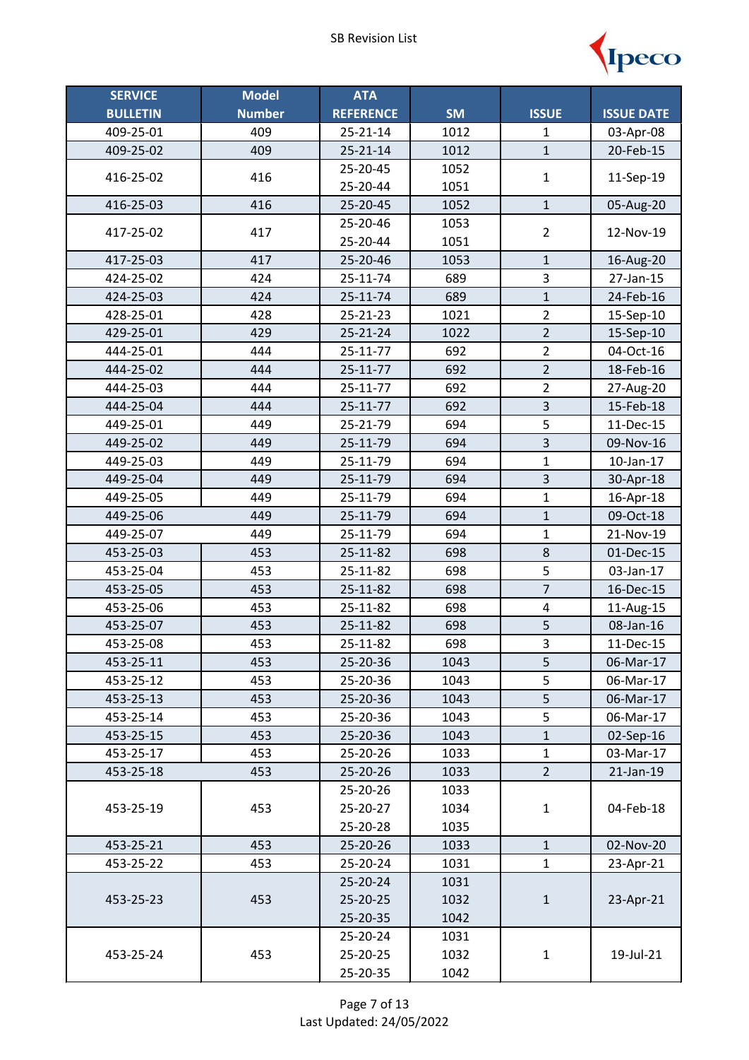

| <b>SERVICE</b>  | <b>Model</b>  | <b>ATA</b>       |           |                         |                   |
|-----------------|---------------|------------------|-----------|-------------------------|-------------------|
| <b>BULLETIN</b> | <b>Number</b> | <b>REFERENCE</b> | <b>SM</b> | <b>ISSUE</b>            | <b>ISSUE DATE</b> |
| 409-25-01       | 409           | 25-21-14         | 1012      | 1                       | 03-Apr-08         |
| 409-25-02       | 409           | $25 - 21 - 14$   | 1012      | $\mathbf{1}$            | 20-Feb-15         |
| 416-25-02       | 416           | 25-20-45         | 1052      | $\mathbf{1}$            | 11-Sep-19         |
|                 |               | 25-20-44         | 1051      |                         |                   |
| 416-25-03       | 416           | 25-20-45         | 1052      | $\mathbf{1}$            | 05-Aug-20         |
| 417-25-02       | 417           | 25-20-46         | 1053      | $\overline{2}$          | 12-Nov-19         |
|                 |               | 25-20-44         | 1051      |                         |                   |
| 417-25-03       | 417           | 25-20-46         | 1053      | 1                       | 16-Aug-20         |
| 424-25-02       | 424           | 25-11-74         | 689       | 3                       | 27-Jan-15         |
| 424-25-03       | 424           | 25-11-74         | 689       | $\mathbf{1}$            | 24-Feb-16         |
| 428-25-01       | 428           | 25-21-23         | 1021      | $\overline{2}$          | 15-Sep-10         |
| 429-25-01       | 429           | $25 - 21 - 24$   | 1022      | $\overline{2}$          | 15-Sep-10         |
| 444-25-01       | 444           | 25-11-77         | 692       | $\overline{2}$          | 04-Oct-16         |
| 444-25-02       | 444           | 25-11-77         | 692       | $\overline{2}$          | 18-Feb-16         |
| 444-25-03       | 444           | 25-11-77         | 692       | $\overline{2}$          | 27-Aug-20         |
| 444-25-04       | 444           | 25-11-77         | 692       | $\overline{3}$          | 15-Feb-18         |
| 449-25-01       | 449           | 25-21-79         | 694       | 5                       | 11-Dec-15         |
| 449-25-02       | 449           | 25-11-79         | 694       | $\overline{\mathbf{3}}$ | 09-Nov-16         |
| 449-25-03       | 449           | 25-11-79         | 694       | 1                       | 10-Jan-17         |
| 449-25-04       | 449           | 25-11-79         | 694       | 3                       | 30-Apr-18         |
| 449-25-05       | 449           | 25-11-79         | 694       | $\mathbf{1}$            | 16-Apr-18         |
| 449-25-06       | 449           | 25-11-79         | 694       | $\mathbf{1}$            | 09-Oct-18         |
| 449-25-07       | 449           | 25-11-79         | 694       | $\mathbf 1$             | 21-Nov-19         |
| 453-25-03       | 453           | 25-11-82         | 698       | 8                       | 01-Dec-15         |
| 453-25-04       | 453           | 25-11-82         | 698       | 5                       | 03-Jan-17         |
| 453-25-05       | 453           | 25-11-82         | 698       | $\overline{7}$          | 16-Dec-15         |
| 453-25-06       | 453           | 25-11-82         | 698       | $\overline{\mathbf{4}}$ | 11-Aug-15         |
| 453-25-07       | 453           | 25-11-82         | 698       | 5                       | 08-Jan-16         |
| 453-25-08       | 453           | 25-11-82         | 698       | 3                       | 11-Dec-15         |
| 453-25-11       | 453           | 25-20-36         | 1043      | 5                       | 06-Mar-17         |
| 453-25-12       | 453           | 25-20-36         | 1043      | 5                       | 06-Mar-17         |
| 453-25-13       | 453           | 25-20-36         | 1043      | 5                       | 06-Mar-17         |
| 453-25-14       | 453           | 25-20-36         | 1043      | 5                       | 06-Mar-17         |
| 453-25-15       | 453           | 25-20-36         | 1043      | $\mathbf{1}$            | 02-Sep-16         |
| 453-25-17       | 453           | 25-20-26         | 1033      | $\mathbf{1}$            | 03-Mar-17         |
| 453-25-18       | 453           | 25-20-26         | 1033      | $\overline{2}$          | 21-Jan-19         |
|                 |               | 25-20-26         | 1033      |                         |                   |
| 453-25-19       | 453           | 25-20-27         | 1034      | $\mathbf 1$             | 04-Feb-18         |
|                 |               | 25-20-28         | 1035      |                         |                   |
| 453-25-21       | 453           | 25-20-26         | 1033      | $\mathbf{1}$            | 02-Nov-20         |
| 453-25-22       | 453           | 25-20-24         | 1031      | $\mathbf 1$             | 23-Apr-21         |
|                 |               | 25-20-24         | 1031      |                         |                   |
| 453-25-23       | 453           | 25-20-25         | 1032      | $\mathbf{1}$            | 23-Apr-21         |
|                 |               | 25-20-35         | 1042      |                         |                   |
|                 |               | 25-20-24         | 1031      |                         |                   |
| 453-25-24       | 453           | 25-20-25         | 1032      | $\mathbf{1}$            | 19-Jul-21         |
|                 |               | 25-20-35         | 1042      |                         |                   |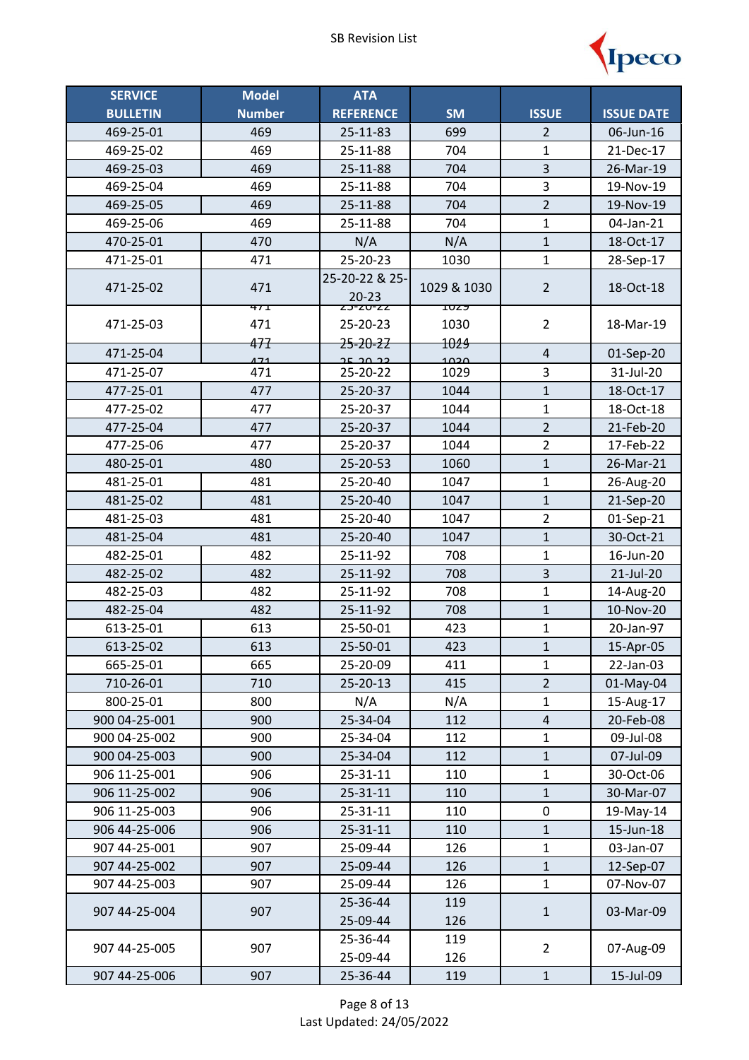

| <b>SERVICE</b>  | <b>Model</b>  | <b>ATA</b>           |                     |                         |                   |
|-----------------|---------------|----------------------|---------------------|-------------------------|-------------------|
| <b>BULLETIN</b> | <b>Number</b> | <b>REFERENCE</b>     | <b>SM</b>           | <b>ISSUE</b>            | <b>ISSUE DATE</b> |
| 469-25-01       | 469           | 25-11-83             | 699                 | $\overline{2}$          | 06-Jun-16         |
| 469-25-02       | 469           | 25-11-88             | 704                 | 1                       | 21-Dec-17         |
| 469-25-03       | 469           | 25-11-88             | 704                 | 3                       | 26-Mar-19         |
| 469-25-04       | 469           | 25-11-88             | 704                 | 3                       | 19-Nov-19         |
| 469-25-05       | 469           | 25-11-88             | 704                 | $\overline{2}$          | 19-Nov-19         |
| 469-25-06       | 469           | 25-11-88             | 704                 | $\mathbf{1}$            | 04-Jan-21         |
| 470-25-01       | 470           | N/A                  | N/A                 | $\mathbf{1}$            | 18-Oct-17         |
| 471-25-01       | 471           | 25-20-23             | 1030                | $\mathbf{1}$            | 28-Sep-17         |
| 471-25-02       | 471           | 25-20-22 & 25-       | 1029 & 1030         | $\overline{2}$          | 18-Oct-18         |
|                 |               | $20 - 23$            |                     |                         |                   |
| 471-25-03       | 47T<br>471    | 23-20-22<br>25-20-23 | <b>TUZY</b><br>1030 | $\overline{2}$          | 18-Mar-19         |
|                 | 477           | <del>25-20-22</del>  | 1024                |                         |                   |
| 471-25-04       | 171           | כב חר בר             | محمد                | $\overline{4}$          | 01-Sep-20         |
| 471-25-07       | 471           | 25-20-22             | 1029                | 3                       | 31-Jul-20         |
| 477-25-01       | 477           | 25-20-37             | 1044                | $\mathbf{1}$            | 18-Oct-17         |
| 477-25-02       | 477           | 25-20-37             | 1044                | 1                       | 18-Oct-18         |
| 477-25-04       | 477           | 25-20-37             | 1044                | $\overline{2}$          | 21-Feb-20         |
| 477-25-06       | 477           | 25-20-37             | 1044                | $\overline{2}$          | 17-Feb-22         |
| 480-25-01       | 480           | 25-20-53             | 1060                | $\mathbf{1}$            | 26-Mar-21         |
| 481-25-01       | 481           | 25-20-40             | 1047                | $\mathbf{1}$            | 26-Aug-20         |
| 481-25-02       | 481           | 25-20-40             | 1047                | $\overline{1}$          | 21-Sep-20         |
| 481-25-03       | 481           | 25-20-40             | 1047                | $\overline{2}$          | 01-Sep-21         |
| 481-25-04       | 481           | 25-20-40             | 1047                | $\mathbf{1}$            | 30-Oct-21         |
| 482-25-01       | 482           | 25-11-92             | 708                 | $\mathbf{1}$            | 16-Jun-20         |
| 482-25-02       | 482           | 25-11-92             | 708                 | $\overline{3}$          | 21-Jul-20         |
| 482-25-03       | 482           | 25-11-92             | 708                 | $\mathbf 1$             | 14-Aug-20         |
| 482-25-04       | 482           | 25-11-92             | 708                 | $\mathbf{1}$            | 10-Nov-20         |
| 613-25-01       | 613           | 25-50-01             | 423                 | 1                       | 20-Jan-97         |
| 613-25-02       | 613           | 25-50-01             | 423                 | $\mathbf{1}$            | 15-Apr-05         |
| 665-25-01       | 665           | 25-20-09             | 411                 | $\mathbf{1}$            | 22-Jan-03         |
| 710-26-01       | 710           | 25-20-13             | 415                 | $\overline{2}$          | 01-May-04         |
| 800-25-01       | 800           | N/A                  | N/A                 | 1                       | 15-Aug-17         |
| 900 04-25-001   | 900           | 25-34-04             | 112                 | $\overline{\mathbf{4}}$ | 20-Feb-08         |
| 900 04-25-002   | 900           | 25-34-04             | 112                 | 1                       | 09-Jul-08         |
| 900 04-25-003   | 900           | 25-34-04             | 112                 | $\mathbf{1}$            | 07-Jul-09         |
| 906 11-25-001   | 906           | 25-31-11             | 110                 | $\mathbf 1$             | 30-Oct-06         |
| 906 11-25-002   | 906           | 25-31-11             | 110                 | $\mathbf{1}$            | 30-Mar-07         |
| 906 11-25-003   | 906           | 25-31-11             | 110                 | $\pmb{0}$               | 19-May-14         |
| 906 44-25-006   | 906           | 25-31-11             | 110                 | $\mathbf{1}$            | 15-Jun-18         |
| 907 44-25-001   | 907           | 25-09-44             | 126                 | 1                       | 03-Jan-07         |
| 907 44-25-002   | 907           | 25-09-44             | 126                 | $\mathbf{1}$            | 12-Sep-07         |
| 907 44-25-003   | 907           | 25-09-44             | 126                 | $\mathbf{1}$            | 07-Nov-07         |
| 907 44-25-004   | 907           | 25-36-44             | 119                 | $\mathbf{1}$            | 03-Mar-09         |
|                 |               | 25-09-44             | 126                 |                         |                   |
| 907 44-25-005   | 907           | 25-36-44             | 119                 | $\overline{2}$          | 07-Aug-09         |
|                 |               | 25-09-44             | 126                 |                         |                   |
| 907 44-25-006   | 907           | 25-36-44             | 119                 | $\mathbf 1$             | 15-Jul-09         |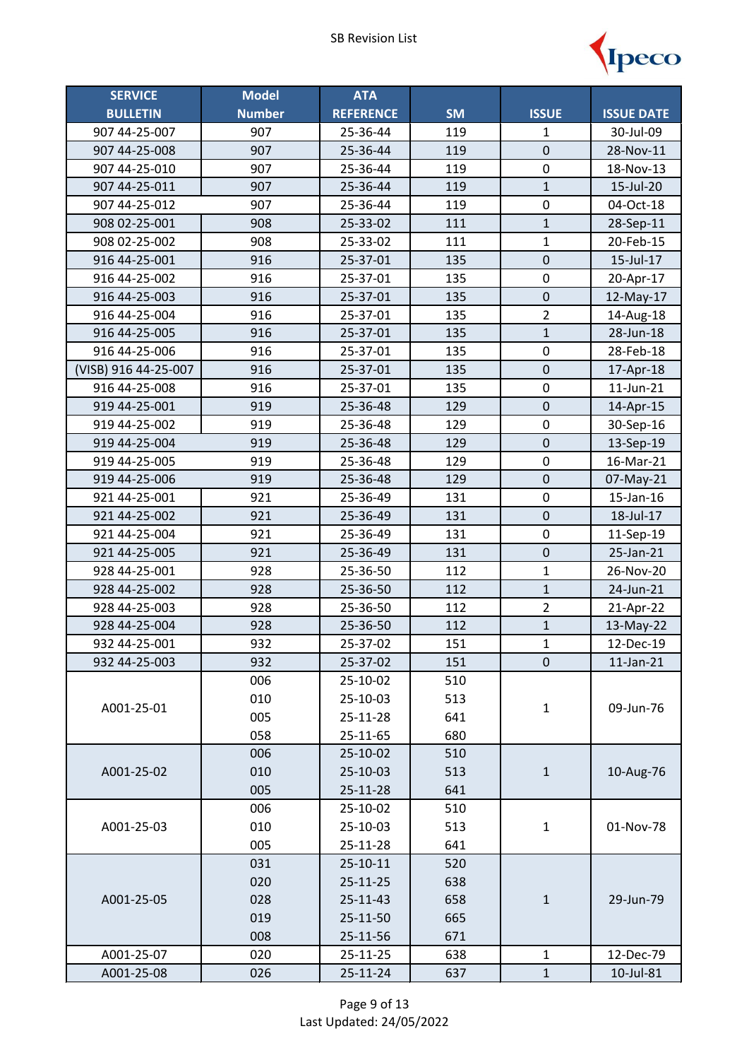

| <b>SERVICE</b>       | <b>Model</b>  | <b>ATA</b>       |           |                |                   |
|----------------------|---------------|------------------|-----------|----------------|-------------------|
| <b>BULLETIN</b>      | <b>Number</b> | <b>REFERENCE</b> | <b>SM</b> | <b>ISSUE</b>   | <b>ISSUE DATE</b> |
| 907 44-25-007        | 907           | 25-36-44         | 119       | 1              | 30-Jul-09         |
| 907 44-25-008        | 907           | 25-36-44         | 119       | $\mathbf 0$    | 28-Nov-11         |
| 907 44-25-010        | 907           | 25-36-44         | 119       | $\pmb{0}$      | 18-Nov-13         |
| 907 44-25-011        | 907           | 25-36-44         | 119       | $\mathbf{1}$   | 15-Jul-20         |
| 907 44-25-012        | 907           | 25-36-44         | 119       | $\pmb{0}$      | 04-Oct-18         |
| 908 02-25-001        | 908           | 25-33-02         | 111       | $\mathbf{1}$   | 28-Sep-11         |
| 908 02-25-002        | 908           | 25-33-02         | 111       | $\mathbf{1}$   | 20-Feb-15         |
| 916 44-25-001        | 916           | 25-37-01         | 135       | $\mathsf 0$    | 15-Jul-17         |
| 916 44-25-002        | 916           | 25-37-01         | 135       | $\pmb{0}$      | 20-Apr-17         |
| 916 44-25-003        | 916           | 25-37-01         | 135       | $\pmb{0}$      | 12-May-17         |
| 916 44-25-004        | 916           | 25-37-01         | 135       | $\overline{2}$ | 14-Aug-18         |
| 916 44-25-005        | 916           | 25-37-01         | 135       | $\mathbf{1}$   | 28-Jun-18         |
| 916 44-25-006        | 916           | 25-37-01         | 135       | $\pmb{0}$      | 28-Feb-18         |
| (VISB) 916 44-25-007 | 916           | 25-37-01         | 135       | $\mathbf 0$    | 17-Apr-18         |
| 916 44-25-008        | 916           | 25-37-01         | 135       | $\pmb{0}$      | 11-Jun-21         |
| 919 44-25-001        | 919           | 25-36-48         | 129       | $\mathbf 0$    | 14-Apr-15         |
| 919 44-25-002        | 919           | 25-36-48         | 129       | $\pmb{0}$      | 30-Sep-16         |
| 919 44-25-004        | 919           | 25-36-48         | 129       | $\pmb{0}$      | 13-Sep-19         |
| 919 44-25-005        | 919           | 25-36-48         | 129       | $\pmb{0}$      | 16-Mar-21         |
| 919 44-25-006        | 919           | 25-36-48         | 129       | $\mathbf 0$    | 07-May-21         |
| 921 44-25-001        | 921           | 25-36-49         | 131       | $\pmb{0}$      | 15-Jan-16         |
| 921 44-25-002        | 921           | 25-36-49         | 131       | $\mathsf 0$    | 18-Jul-17         |
| 921 44-25-004        | 921           | 25-36-49         | 131       | 0              | 11-Sep-19         |
| 921 44-25-005        | 921           | 25-36-49         | 131       | $\pmb{0}$      | 25-Jan-21         |
| 928 44-25-001        | 928           | 25-36-50         | 112       | $\mathbf{1}$   | 26-Nov-20         |
| 928 44-25-002        | 928           | 25-36-50         | 112       | $\mathbf{1}$   | 24-Jun-21         |
| 928 44-25-003        | 928           | 25-36-50         | 112       | $\overline{2}$ | 21-Apr-22         |
| 928 44-25-004        | 928           | 25-36-50         | 112       | $\mathbf{1}$   | 13-May-22         |
| 932 44-25-001        | 932           | 25-37-02         | 151       | $\mathbf{1}$   | 12-Dec-19         |
| 932 44-25-003        | 932           | 25-37-02         | 151       | 0              | $11$ -Jan- $21$   |
|                      | 006           | 25-10-02         | 510       |                |                   |
| A001-25-01           | 010           | 25-10-03         | 513       | $\mathbf{1}$   | 09-Jun-76         |
|                      | 005           | 25-11-28         | 641       |                |                   |
|                      | 058           | 25-11-65         | 680       |                |                   |
|                      | 006           | 25-10-02         | 510       |                |                   |
| A001-25-02           | 010           | 25-10-03         | 513       | $\mathbf{1}$   | 10-Aug-76         |
|                      | 005           | 25-11-28         | 641       |                |                   |
|                      | 006           | 25-10-02         | 510       |                |                   |
| A001-25-03           | 010           | 25-10-03         | 513       | $\mathbf{1}$   | 01-Nov-78         |
|                      | 005           | 25-11-28         | 641       |                |                   |
|                      | 031           | 25-10-11         | 520       |                |                   |
|                      | 020           | 25-11-25         | 638       |                |                   |
| A001-25-05           | 028           | 25-11-43         | 658       | $\mathbf 1$    | 29-Jun-79         |
|                      | 019           | 25-11-50         | 665       |                |                   |
|                      | 008           | 25-11-56         | 671       |                |                   |
| A001-25-07           | 020           | 25-11-25         | 638       | $\mathbf{1}$   | 12-Dec-79         |
| A001-25-08           | 026           | 25-11-24         | 637       | $\mathbf{1}$   | 10-Jul-81         |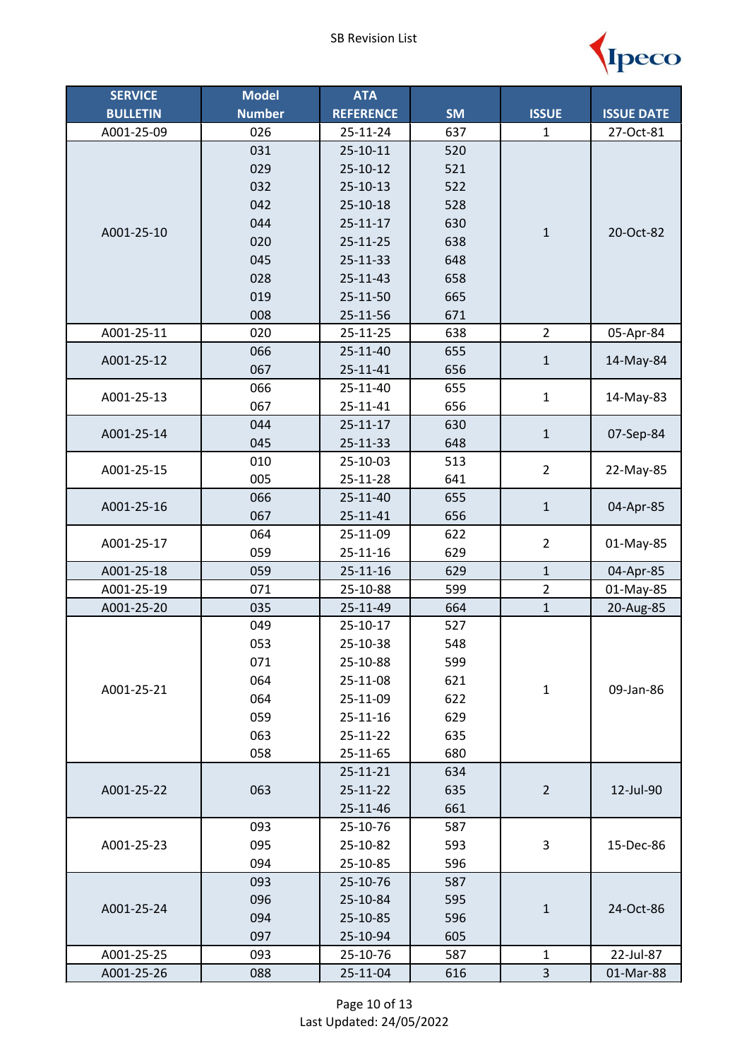

| <b>SERVICE</b>  | <b>Model</b>  | <b>ATA</b>       |           |                |                   |
|-----------------|---------------|------------------|-----------|----------------|-------------------|
| <b>BULLETIN</b> | <b>Number</b> | <b>REFERENCE</b> | <b>SM</b> | <b>ISSUE</b>   | <b>ISSUE DATE</b> |
| A001-25-09      | 026           | 25-11-24         | 637       | $\mathbf{1}$   | 27-Oct-81         |
|                 | 031           | $25 - 10 - 11$   | 520       |                |                   |
|                 | 029           | $25 - 10 - 12$   | 521       |                |                   |
|                 | 032           | $25 - 10 - 13$   | 522       |                |                   |
|                 | 042           | 25-10-18         | 528       |                |                   |
| A001-25-10      | 044           | $25 - 11 - 17$   | 630       | $\mathbf 1$    | 20-Oct-82         |
|                 | 020           | 25-11-25         | 638       |                |                   |
|                 | 045           | 25-11-33         | 648       |                |                   |
|                 | 028           | 25-11-43         | 658       |                |                   |
|                 | 019           | 25-11-50         | 665       |                |                   |
|                 | 008           | 25-11-56         | 671       |                |                   |
| A001-25-11      | 020           | 25-11-25         | 638       | $\overline{2}$ | 05-Apr-84         |
| A001-25-12      | 066           | 25-11-40         | 655       | $\mathbf 1$    | 14-May-84         |
|                 | 067           | 25-11-41         | 656       |                |                   |
| A001-25-13      | 066           | 25-11-40         | 655       | $\mathbf{1}$   | 14-May-83         |
|                 | 067           | 25-11-41         | 656       |                |                   |
| A001-25-14      | 044           | $25 - 11 - 17$   | 630       |                | 07-Sep-84         |
|                 | 045           | 25-11-33         | 648       | $\mathbf 1$    |                   |
| A001-25-15      | 010           | 25-10-03         | 513       | $\overline{2}$ | 22-May-85         |
|                 | 005           | 25-11-28         | 641       |                |                   |
| A001-25-16      | 066           | 25-11-40         | 655       | $\mathbf{1}$   | 04-Apr-85         |
|                 | 067           | 25-11-41         | 656       |                |                   |
| A001-25-17      | 064           | 25-11-09         | 622       | $\overline{2}$ | 01-May-85         |
|                 | 059           | 25-11-16         | 629       |                |                   |
| A001-25-18      | 059           | $25 - 11 - 16$   | 629       | $\mathbf{1}$   | 04-Apr-85         |
| A001-25-19      | 071           | 25-10-88         | 599       | $\overline{2}$ | 01-May-85         |
| A001-25-20      | 035           | 25-11-49         | 664       | $\mathbf 1$    | 20-Aug-85         |
|                 | 049           | 25-10-17         | 527       |                |                   |
|                 | 053           | 25-10-38         | 548       |                |                   |
|                 | 071           | 25-10-88         | 599       |                |                   |
| A001-25-21      | 064           | 25-11-08         | 621       | $\mathbf 1$    | 09-Jan-86         |
|                 | 064           | 25-11-09         | 622       |                |                   |
|                 | 059           | $25 - 11 - 16$   | 629       |                |                   |
|                 | 063           | 25-11-22         | 635       |                |                   |
|                 | 058           | 25-11-65         | 680       |                |                   |
|                 |               | 25-11-21         | 634       |                |                   |
| A001-25-22      | 063           | 25-11-22         | 635       | $\overline{2}$ | 12-Jul-90         |
|                 |               | 25-11-46         | 661       |                |                   |
| A001-25-23      | 093           | 25-10-76         | 587       |                |                   |
|                 | 095           | 25-10-82         | 593       | 3              | 15-Dec-86         |
|                 | 094           | 25-10-85         | 596       |                |                   |
|                 | 093           | 25-10-76         | 587       |                |                   |
| A001-25-24      | 096           | 25-10-84         | 595       | $\mathbf{1}$   | 24-Oct-86         |
|                 | 094           | 25-10-85         | 596       |                |                   |
|                 | 097           | 25-10-94         | 605       |                |                   |
| A001-25-25      | 093           | 25-10-76         | 587       | $\mathbf{1}$   | 22-Jul-87         |
| A001-25-26      | 088           | 25-11-04         | 616       | 3              | 01-Mar-88         |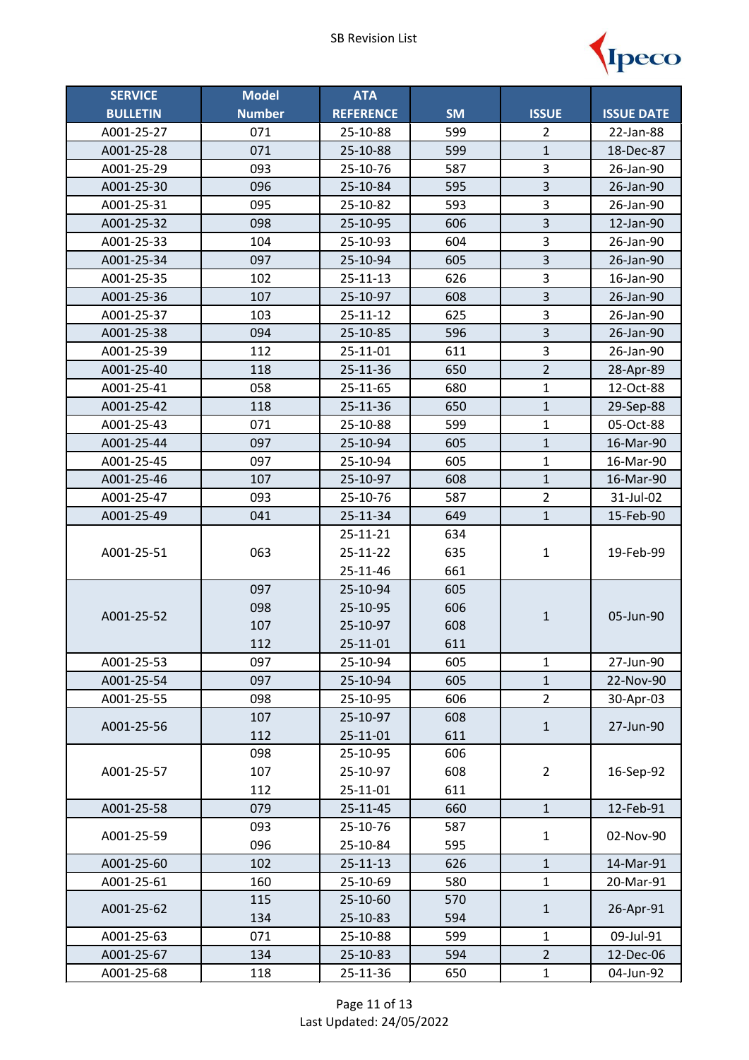

| <b>SERVICE</b>  | <b>Model</b>  | <b>ATA</b>       |           |                         |                   |
|-----------------|---------------|------------------|-----------|-------------------------|-------------------|
| <b>BULLETIN</b> | <b>Number</b> | <b>REFERENCE</b> | <b>SM</b> | <b>ISSUE</b>            | <b>ISSUE DATE</b> |
| A001-25-27      | 071           | 25-10-88         | 599       | 2                       | 22-Jan-88         |
| A001-25-28      | 071           | 25-10-88         | 599       | $\mathbf{1}$            | 18-Dec-87         |
| A001-25-29      | 093           | 25-10-76         | 587       | 3                       | 26-Jan-90         |
| A001-25-30      | 096           | 25-10-84         | 595       | $\overline{\mathbf{3}}$ | 26-Jan-90         |
| A001-25-31      | 095           | 25-10-82         | 593       | 3                       | 26-Jan-90         |
| A001-25-32      | 098           | 25-10-95         | 606       | $\overline{\mathbf{3}}$ | 12-Jan-90         |
| A001-25-33      | 104           | 25-10-93         | 604       | 3                       | 26-Jan-90         |
| A001-25-34      | 097           | 25-10-94         | 605       | $\overline{\mathbf{3}}$ | 26-Jan-90         |
| A001-25-35      | 102           | 25-11-13         | 626       | 3                       | 16-Jan-90         |
| A001-25-36      | 107           | 25-10-97         | 608       | 3                       | 26-Jan-90         |
| A001-25-37      | 103           | 25-11-12         | 625       | 3                       | 26-Jan-90         |
| A001-25-38      | 094           | 25-10-85         | 596       | $\overline{\mathbf{3}}$ | 26-Jan-90         |
| A001-25-39      | 112           | 25-11-01         | 611       | $\overline{3}$          | 26-Jan-90         |
| A001-25-40      | 118           | 25-11-36         | 650       | $\overline{2}$          | 28-Apr-89         |
| A001-25-41      | 058           | 25-11-65         | 680       | $\mathbf{1}$            | 12-Oct-88         |
| A001-25-42      | 118           | 25-11-36         | 650       | $\mathbf{1}$            | 29-Sep-88         |
| A001-25-43      | 071           | 25-10-88         | 599       | $\mathbf 1$             | 05-Oct-88         |
| A001-25-44      | 097           | 25-10-94         | 605       | $\mathbf{1}$            | 16-Mar-90         |
| A001-25-45      | 097           | 25-10-94         | 605       | 1                       | 16-Mar-90         |
| A001-25-46      | 107           | 25-10-97         | 608       | $\overline{1}$          | 16-Mar-90         |
| A001-25-47      | 093           | 25-10-76         | 587       | $\overline{2}$          | 31-Jul-02         |
| A001-25-49      | 041           | 25-11-34         | 649       | $\mathbf{1}$            | 15-Feb-90         |
|                 |               | 25-11-21         | 634       | $\mathbf 1$             | 19-Feb-99         |
| A001-25-51      | 063           | 25-11-22         | 635       |                         |                   |
|                 |               | 25-11-46         | 661       |                         |                   |
|                 | 097           | 25-10-94         | 605       |                         |                   |
| A001-25-52      | 098           | 25-10-95         | 606       | $\mathbf{1}$            | 05-Jun-90         |
|                 | 107           | 25-10-97         | 608       |                         |                   |
|                 | 112           | 25-11-01         | 611       |                         |                   |
| A001-25-53      | 097           | 25-10-94         | 605       | $\mathbf{1}$            | 27-Jun-90         |
| A001-25-54      | 097           | 25-10-94         | 605       | $\mathbf{1}$            | 22-Nov-90         |
| A001-25-55      | 098           | 25-10-95         | 606       | $\overline{2}$          | 30-Apr-03         |
| A001-25-56      | 107           | 25-10-97         | 608       | $\mathbf{1}$            | 27-Jun-90         |
|                 | 112           | 25-11-01         | 611       |                         |                   |
|                 | 098           | 25-10-95         | 606       |                         |                   |
| A001-25-57      | 107           | 25-10-97         | 608       | $\overline{2}$          | 16-Sep-92         |
|                 | 112           | 25-11-01         | 611       |                         |                   |
| A001-25-58      | 079           | $25 - 11 - 45$   | 660       | $\mathbf{1}$            | 12-Feb-91         |
| A001-25-59      | 093           | 25-10-76         | 587       | $\mathbf{1}$            | 02-Nov-90         |
|                 | 096           | 25-10-84         | 595       |                         |                   |
| A001-25-60      | 102           | $25 - 11 - 13$   | 626       | $\mathbf 1$             | 14-Mar-91         |
| A001-25-61      | 160           | 25-10-69         | 580       | $\mathbf{1}$            | 20-Mar-91         |
| A001-25-62      | 115           | 25-10-60         | 570       | $\mathbf{1}$            | 26-Apr-91         |
|                 | 134           | 25-10-83         | 594       |                         |                   |
| A001-25-63      | 071           | 25-10-88         | 599       | $\mathbf{1}$            | 09-Jul-91         |
| A001-25-67      | 134           | 25-10-83         | 594       | $\overline{2}$          | 12-Dec-06         |
| A001-25-68      | 118           | 25-11-36         | 650       | $\mathbf 1$             | 04-Jun-92         |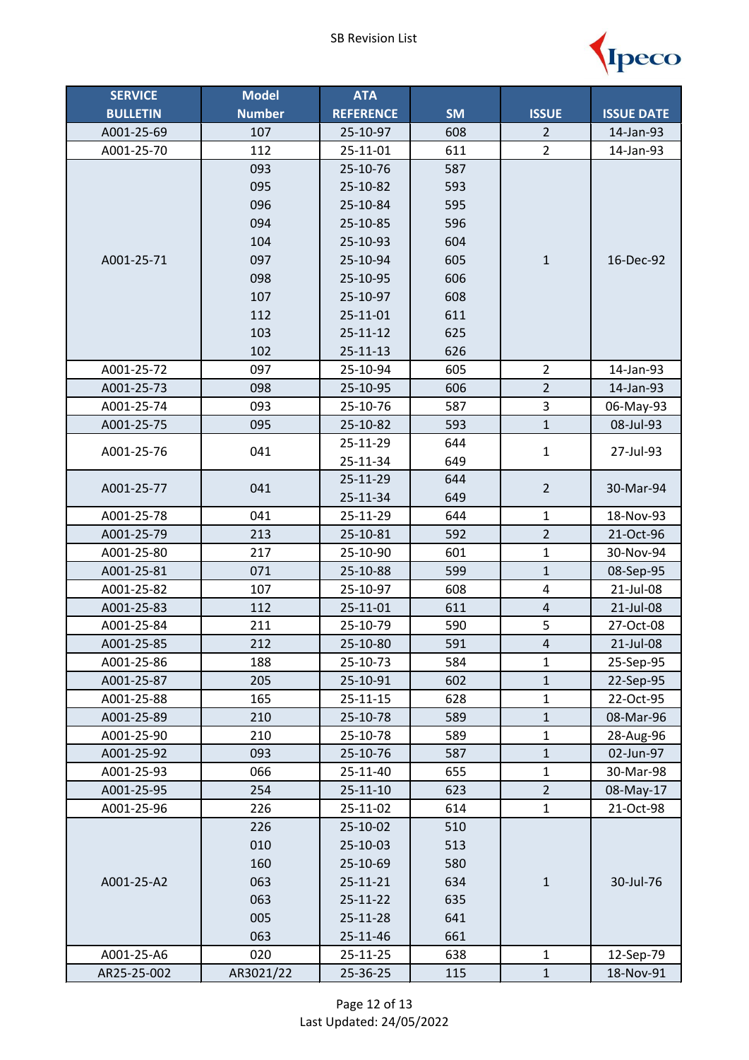

| <b>SERVICE</b>  | <b>Model</b>  | <b>ATA</b>       |           |                |                   |
|-----------------|---------------|------------------|-----------|----------------|-------------------|
| <b>BULLETIN</b> | <b>Number</b> | <b>REFERENCE</b> | <b>SM</b> | <b>ISSUE</b>   | <b>ISSUE DATE</b> |
| A001-25-69      | 107           | 25-10-97         | 608       | $\overline{2}$ | 14-Jan-93         |
| A001-25-70      | 112           | 25-11-01         | 611       | $\overline{2}$ | 14-Jan-93         |
|                 | 093           | 25-10-76         | 587       |                |                   |
|                 | 095           | 25-10-82         | 593       |                |                   |
|                 | 096           | 25-10-84         | 595       |                |                   |
|                 | 094           | 25-10-85         | 596       |                |                   |
|                 | 104           | 25-10-93         | 604       |                |                   |
| A001-25-71      | 097           | 25-10-94         | 605       | $\mathbf 1$    | 16-Dec-92         |
|                 | 098           | 25-10-95         | 606       |                |                   |
|                 | 107           | 25-10-97         | 608       |                |                   |
|                 | 112           | 25-11-01         | 611       |                |                   |
|                 | 103           | $25 - 11 - 12$   | 625       |                |                   |
|                 | 102           | $25 - 11 - 13$   | 626       |                |                   |
| A001-25-72      | 097           | 25-10-94         | 605       | $\overline{2}$ | 14-Jan-93         |
| A001-25-73      | 098           | 25-10-95         | 606       | $\overline{2}$ | 14-Jan-93         |
| A001-25-74      | 093           | 25-10-76         | 587       | 3              | 06-May-93         |
| A001-25-75      | 095           | 25-10-82         | 593       | $\mathbf{1}$   | 08-Jul-93         |
| A001-25-76      | 041           | 25-11-29         | 644       | $\mathbf{1}$   | 27-Jul-93         |
|                 |               | 25-11-34         | 649       |                |                   |
| A001-25-77      | 041           | 25-11-29         | 644       | $\overline{2}$ | 30-Mar-94         |
|                 |               | 25-11-34         | 649       |                |                   |
| A001-25-78      | 041           | 25-11-29         | 644       | $\mathbf{1}$   | 18-Nov-93         |
| A001-25-79      | 213           | 25-10-81         | 592       | $\overline{2}$ | 21-Oct-96         |
| A001-25-80      | 217           | 25-10-90         | 601       | $\mathbf{1}$   | 30-Nov-94         |
| A001-25-81      | 071           | 25-10-88         | 599       | $\mathbf{1}$   | 08-Sep-95         |
| A001-25-82      | 107           | 25-10-97         | 608       | 4              | 21-Jul-08         |
| A001-25-83      | 112           | 25-11-01         | 611       | $\sqrt{4}$     | 21-Jul-08         |
| A001-25-84      | 211           | 25-10-79         | 590       | 5              | 27-Oct-08         |
| A001-25-85      | 212           | 25-10-80         | 591       | $\overline{4}$ | 21-Jul-08         |
| A001-25-86      | 188           | 25-10-73         | 584       | $\mathbf{1}$   | 25-Sep-95         |
| A001-25-87      | 205           | 25-10-91         | 602       | $\mathbf{1}$   | 22-Sep-95         |
| A001-25-88      | 165           | $25 - 11 - 15$   | 628       | $\mathbf{1}$   | 22-Oct-95         |
| A001-25-89      | 210           | 25-10-78         | 589       | $\mathbf{1}$   | 08-Mar-96         |
| A001-25-90      | 210           | 25-10-78         | 589       | $\mathbf 1$    | 28-Aug-96         |
| A001-25-92      | 093           | 25-10-76         | 587       | $\mathbf{1}$   | 02-Jun-97         |
| A001-25-93      | 066           | 25-11-40         | 655       | $\mathbf{1}$   | 30-Mar-98         |
| A001-25-95      | 254           | $25 - 11 - 10$   | 623       | $\overline{2}$ | 08-May-17         |
| A001-25-96      | 226           | 25-11-02         | 614       | $\mathbf{1}$   | 21-Oct-98         |
|                 | 226           | 25-10-02         | 510       |                |                   |
|                 | 010           | 25-10-03         | 513       |                |                   |
|                 | 160           | 25-10-69         | 580       |                |                   |
| A001-25-A2      | 063           | 25-11-21         | 634       | $\mathbf 1$    | 30-Jul-76         |
|                 | 063           | $25 - 11 - 22$   | 635       |                |                   |
|                 | 005           | 25-11-28         | 641       |                |                   |
|                 | 063           | 25-11-46         | 661       |                |                   |
| A001-25-A6      | 020           | 25-11-25         | 638       | $\mathbf{1}$   | 12-Sep-79         |
| AR25-25-002     | AR3021/22     | 25-36-25         | 115       | $\mathbf{1}$   | 18-Nov-91         |